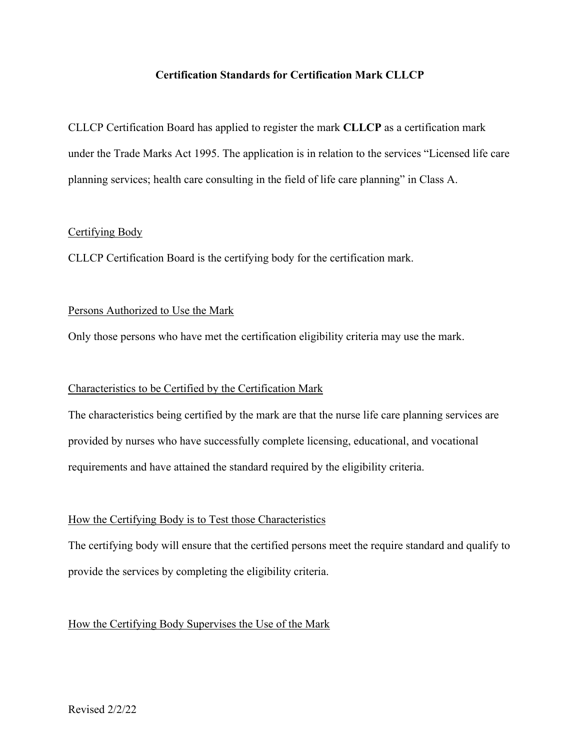## **Certification Standards for Certification Mark CLLCP**

CLLCP Certification Board has applied to register the mark **CLLCP** as a certification mark under the Trade Marks Act 1995. The application is in relation to the services "Licensed life care planning services; health care consulting in the field of life care planning" in Class A.

#### Certifying Body

CLLCP Certification Board is the certifying body for the certification mark.

## Persons Authorized to Use the Mark

Only those persons who have met the certification eligibility criteria may use the mark.

## Characteristics to be Certified by the Certification Mark

The characteristics being certified by the mark are that the nurse life care planning services are provided by nurses who have successfully complete licensing, educational, and vocational requirements and have attained the standard required by the eligibility criteria.

## How the Certifying Body is to Test those Characteristics

The certifying body will ensure that the certified persons meet the require standard and qualify to provide the services by completing the eligibility criteria.

## How the Certifying Body Supervises the Use of the Mark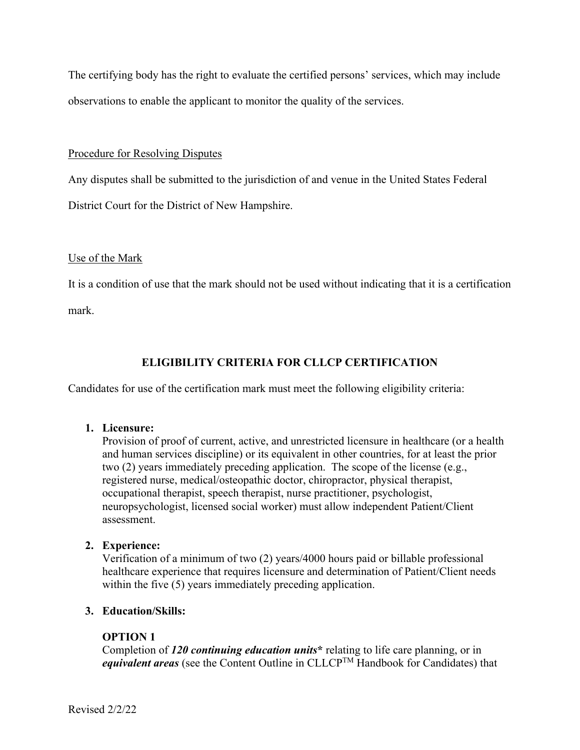The certifying body has the right to evaluate the certified persons' services, which may include observations to enable the applicant to monitor the quality of the services.

## Procedure for Resolving Disputes

Any disputes shall be submitted to the jurisdiction of and venue in the United States Federal District Court for the District of New Hampshire.

## Use of the Mark

It is a condition of use that the mark should not be used without indicating that it is a certification

mark.

# **ELIGIBILITY CRITERIA FOR CLLCP CERTIFICATION**

Candidates for use of the certification mark must meet the following eligibility criteria:

## **1. Licensure:**

Provision of proof of current, active, and unrestricted licensure in healthcare (or a health and human services discipline) or its equivalent in other countries, for at least the prior two (2) years immediately preceding application. The scope of the license (e.g., registered nurse, medical/osteopathic doctor, chiropractor, physical therapist, occupational therapist, speech therapist, nurse practitioner, psychologist, neuropsychologist, licensed social worker) must allow independent Patient/Client assessment.

# **2. Experience:**

Verification of a minimum of two (2) years/4000 hours paid or billable professional healthcare experience that requires licensure and determination of Patient/Client needs within the five (5) years immediately preceding application.

# **3. Education/Skills:**

# **OPTION 1**

Completion of *120 continuing education units***\*** relating to life care planning, or in *equivalent areas* (see the Content Outline in CLLCPTM Handbook for Candidates) that